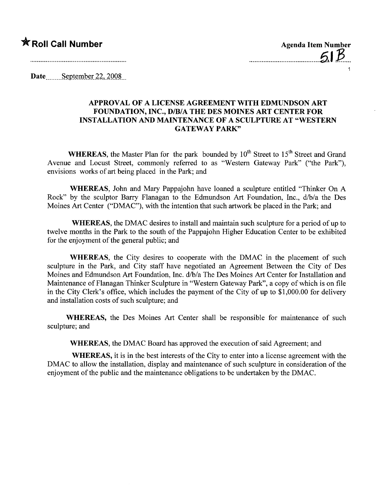## \* Roll Call Number Agenda Item Number

 $\sim$  51 1

Date  $\qquad$  September 22, 2008

## APPROVAL OF A LICENSE AGREEMENT WITH EDMUNDSON ART FOUNDATION, INC., D/B/A THE DES MOINES ART CENTER FOR INSTALLATION AND MAINTENANCE OF A SCULPTURE AT "WESTERN GATEWAY PARK"

WHEREAS, the Master Plan for the park bounded by  $10^{th}$  Street to  $15^{th}$  Street and Grand Avenue and Locust Street, commonly referred to as "Western Gateway Park" ("the Park"), envisions works of art being placed in the Park; and

WHEREAS, John and Mary Pappajohn have loaned a sculpture entitled "Thinker On A Rock" by the sculptor Barry Flanagan to the Edmundson Art Foundation, Inc.,  $d/b/a$  the Des Moines Art Center ("DMAC"), with the intention that such artwork be placed in the Park; and

WHEREAS, the DMAC desires to install and maintain such sculpture for a period of up to twelve months in the Park to the south of the Pappajohn Higher Education Center to be exhibited for the enjoyment of the general public; and

WHEREAS, the City desires to cooperate with the DMAC in the placement of such sculpture in the Park, and City staff have negotiated an Agreement Between the City of Des Moines and Edmundson Art Foundation, Inc. d/b/a The Des Moines Art Center for Installation and Maintenance of Flanagan Thinker Sculpture in "Western Gateway Park", a copy of which is on fie in the City Clerk's office, which includes the payment of the City of up to \$1,000.00 for delivery and installation costs of such sculpture; and

WHEREAS, the Des Moines Art Center shall be responsible for maintenance of such sculpture; and

WHEREAS, the DMAC Board has approved the execution of said Agreement; and

WHEREAS, it is in the best interests of the City to enter into a license agreement with the DMAC to allow the installation, display and maintenance of such sculpture in consideration of the enjoyment of the public and the maintenance obligations to be undertaken by the DMAC.